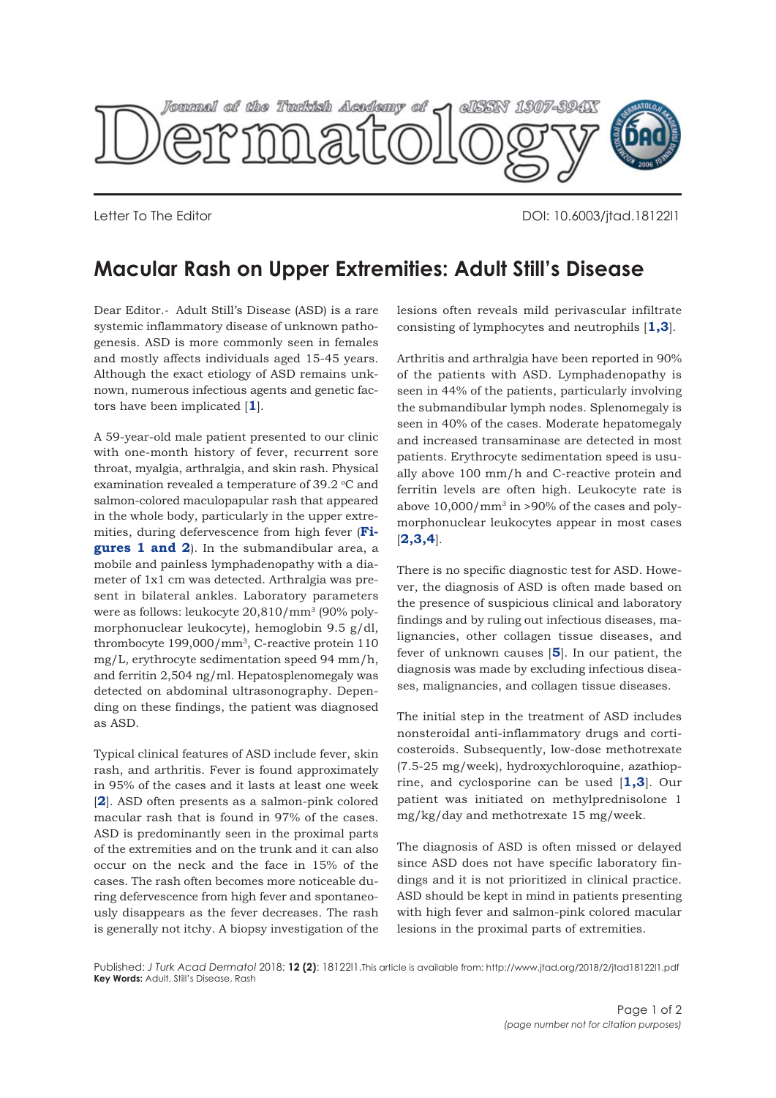

Letter To The Editor DOI: 10.6003/jtad.18122l1

## **Macular Rash on Upper Extremities: Adult Still's Disease**

Dear Editor*.-* Adult Still's Disease (ASD) is a rare systemic inflammatory disease of unknown pathogenesis. ASD is more commonly seen in females and mostly affects individuals aged 15-45 years. Although the exact etiology of ASD remains unknown, numerous infectious agents and genetic factors have been implicated [**[1](#page-1-0)**].

A 59-year-old male patient presented to our clinic with one-month history of fever, recurrent sore throat, myalgia, arthralgia, and skin rash. Physical examination revealed a temperature of 39.2 °C and salmon-colored maculopapular rash that appeared in the whole body, particularly in the upper extre[mities, during defervescence from high fever \(](#page-1-0)**Figures 1 [and 2](#page-1-0)**). In the submandibular area, a mobile and painless lymphadenopathy with a diameter of 1x1 cm was detected. Arthralgia was present in bilateral ankles. Laboratory parameters were as follows: leukocyte 20,810/mm3 (90% polymorphonuclear leukocyte), hemoglobin 9.5 g/dl, thrombocyte 199,000/mm3, C-reactive protein 110 mg/L, erythrocyte sedimentation speed 94 mm/h, and ferritin 2,504 ng/ml. Hepatosplenomegaly was detected on abdominal ultrasonography. Depending on these findings, the patient was diagnosed as ASD.

Typical clinical features of ASD include fever, skin rash, and arthritis. Fever is found approximately in 95% of the cases and it lasts at least one week [[2](#page-1-0)]. ASD often presents as a salmon-pink colored macular rash that is found in 97% of the cases. ASD is predominantly seen in the proximal parts of the extremities and on the trunk and it can also occur on the neck and the face in 15% of the cases. The rash often becomes more noticeable during defervescence from high fever and spontaneously disappears as the fever decreases. The rash is generally not itchy. A biopsy investigation of the lesions often reveals mild perivascular infiltrate consisting of lymphocytes and neutrophils [**[1](#page-1-0),[3](#page-1-0)**].

Arthritis and arthralgia have been reported in 90% of the patients with ASD. Lymphadenopathy is seen in 44% of the patients, particularly involving the submandibular lymph nodes. Splenomegaly is seen in 40% of the cases. Moderate hepatomegaly and increased transaminase are detected in most patients. Erythrocyte sedimentation speed is usually above 100 mm/h and C-reactive protein and ferritin levels are often high. Leukocyte rate is above  $10,000/\text{mm}^3$  in >90% of the cases and polymorphonuclear leukocytes appear in most cases [**[2,3,4](#page-1-0)**].

There is no specific diagnostic test for ASD. However, the diagnosis of ASD is often made based on the presence of suspicious clinical and laboratory findings and by ruling out infectious diseases, malignancies, other collagen tissue diseases, and fever of unknown causes [**[5](#page-1-0)**]. In our patient, the diagnosis was made by excluding infectious diseases, malignancies, and collagen tissue diseases.

The initial step in the treatment of ASD includes nonsteroidal anti-inflammatory drugs and corticosteroids. Subsequently, low-dose methotrexate (7.5-25 mg/week), hydroxychloroquine, azathioprine, and cyclosporine can be used [**[1,3](#page-1-0)**]. Our patient was initiated on methylprednisolone 1 mg/kg/day and methotrexate 15 mg/week.

The diagnosis of ASD is often missed or delayed since ASD does not have specific laboratory findings and it is not prioritized in clinical practice. ASD should be kept in mind in patients presenting with high fever and salmon-pink colored macular lesions in the proximal parts of extremities.

Published: *J Turk Acad Dermatol* 2018; **12 (2)**: 18122l1.This article is available from: http://www.jtad.org/2018/2/jtad18122l1.pdf **Key Words:** Adult, Still's Disease, Rash